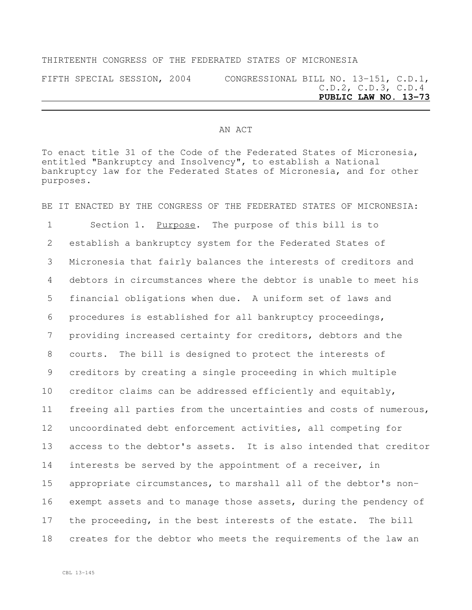## THIRTEENTH CONGRESS OF THE FEDERATED STATES OF MICRONESIA

FIFTH SPECIAL SESSION, 2004 CONGRESSIONAL BILL NO. 13-151, C.D.1, C.D.2, C.D.3, C.D.4 **PUBLIC LAW NO. 13-73**

## AN ACT

To enact title 31 of the Code of the Federated States of Micronesia, entitled "Bankruptcy and Insolvency", to establish a National bankruptcy law for the Federated States of Micronesia, and for other purposes.

BE IT ENACTED BY THE CONGRESS OF THE FEDERATED STATES OF MICRONESIA:

1 Section 1. Purpose. The purpose of this bill is to establish a bankruptcy system for the Federated States of Micronesia that fairly balances the interests of creditors and debtors in circumstances where the debtor is unable to meet his financial obligations when due. A uniform set of laws and procedures is established for all bankruptcy proceedings, providing increased certainty for creditors, debtors and the courts. The bill is designed to protect the interests of creditors by creating a single proceeding in which multiple creditor claims can be addressed efficiently and equitably, freeing all parties from the uncertainties and costs of numerous, uncoordinated debt enforcement activities, all competing for access to the debtor's assets. It is also intended that creditor interests be served by the appointment of a receiver, in appropriate circumstances, to marshall all of the debtor's non- exempt assets and to manage those assets, during the pendency of the proceeding, in the best interests of the estate. The bill creates for the debtor who meets the requirements of the law an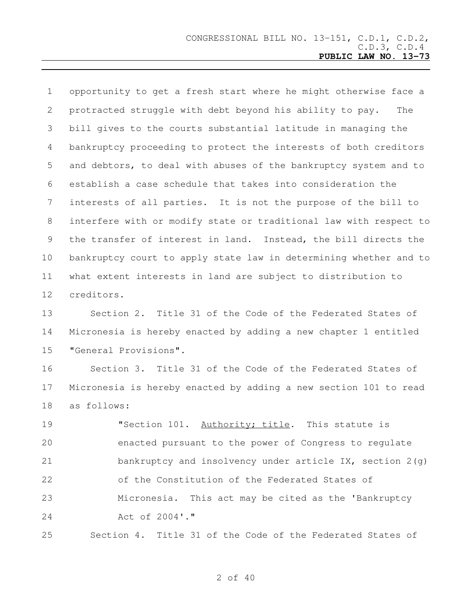opportunity to get a fresh start where he might otherwise face a protracted struggle with debt beyond his ability to pay. The bill gives to the courts substantial latitude in managing the bankruptcy proceeding to protect the interests of both creditors and debtors, to deal with abuses of the bankruptcy system and to establish a case schedule that takes into consideration the interests of all parties. It is not the purpose of the bill to interfere with or modify state or traditional law with respect to the transfer of interest in land. Instead, the bill directs the bankruptcy court to apply state law in determining whether and to what extent interests in land are subject to distribution to creditors.

 Section 2. Title 31 of the Code of the Federated States of Micronesia is hereby enacted by adding a new chapter 1 entitled "General Provisions".

 Section 3. Title 31 of the Code of the Federated States of Micronesia is hereby enacted by adding a new section 101 to read as follows:

 "Section 101. Authority; title. This statute is enacted pursuant to the power of Congress to regulate bankruptcy and insolvency under article IX, section 2(g) of the Constitution of the Federated States of Micronesia. This act may be cited as the 'Bankruptcy Act of 2004'."

Section 4. Title 31 of the Code of the Federated States of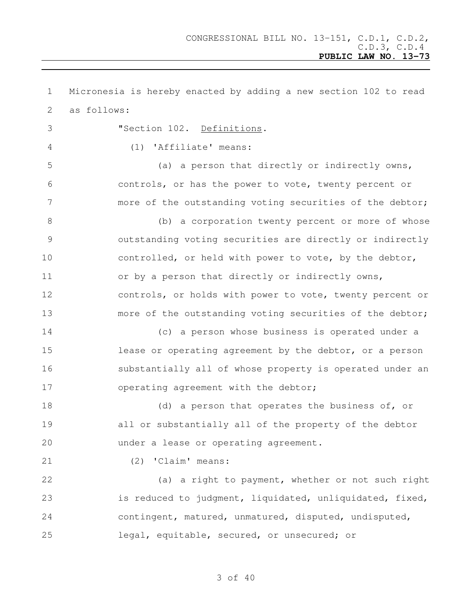Micronesia is hereby enacted by adding a new section 102 to read as follows: "Section 102. Definitions. (1) 'Affiliate' means: (a) a person that directly or indirectly owns, controls, or has the power to vote, twenty percent or more of the outstanding voting securities of the debtor; 8 (b) a corporation twenty percent or more of whose outstanding voting securities are directly or indirectly 10 controlled, or held with power to vote, by the debtor, 11 or by a person that directly or indirectly owns, controls, or holds with power to vote, twenty percent or more of the outstanding voting securities of the debtor; (c) a person whose business is operated under a **lease or operating agreement by the debtor, or a person**  substantially all of whose property is operated under an 17 operating agreement with the debtor; 18 (d) a person that operates the business of, or all or substantially all of the property of the debtor under a lease or operating agreement. (2) 'Claim' means: (a) a right to payment, whether or not such right is reduced to judgment, liquidated, unliquidated, fixed, contingent, matured, unmatured, disputed, undisputed, legal, equitable, secured, or unsecured; or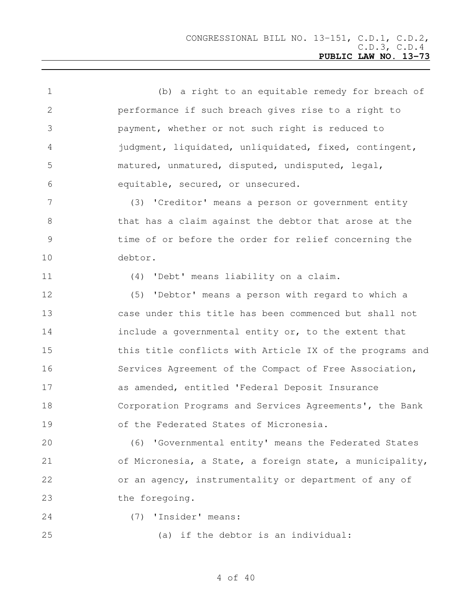| $\mathbf 1$     | (b) a right to an equitable remedy for breach of         |
|-----------------|----------------------------------------------------------|
| 2               | performance if such breach gives rise to a right to      |
| 3               | payment, whether or not such right is reduced to         |
| 4               | judgment, liquidated, unliquidated, fixed, contingent,   |
| 5               | matured, unmatured, disputed, undisputed, legal,         |
| 6               | equitable, secured, or unsecured.                        |
| $7\phantom{.0}$ | (3) 'Creditor' means a person or government entity       |
| 8               | that has a claim against the debtor that arose at the    |
| $\mathcal{G}$   | time of or before the order for relief concerning the    |
| 10              | debtor.                                                  |
| 11              | (4) 'Debt' means liability on a claim.                   |
| 12              | (5) 'Debtor' means a person with regard to which a       |
| 13              | case under this title has been commenced but shall not   |
| 14              | include a governmental entity or, to the extent that     |
| 15              | this title conflicts with Article IX of the programs and |
| 16              | Services Agreement of the Compact of Free Association,   |
| 17              | as amended, entitled 'Federal Deposit Insurance          |
| 18              | Corporation Programs and Services Agreements', the Bank  |
| 19              | of the Federated States of Micronesia.                   |
| 20              | (6) 'Governmental entity' means the Federated States     |
| 21              | of Micronesia, a State, a foreign state, a municipality, |
| 22              | or an agency, instrumentality or department of any of    |
| 23              | the foregoing.                                           |
| 24              | (7) 'Insider' means:                                     |
| 25              | (a) if the debtor is an individual:                      |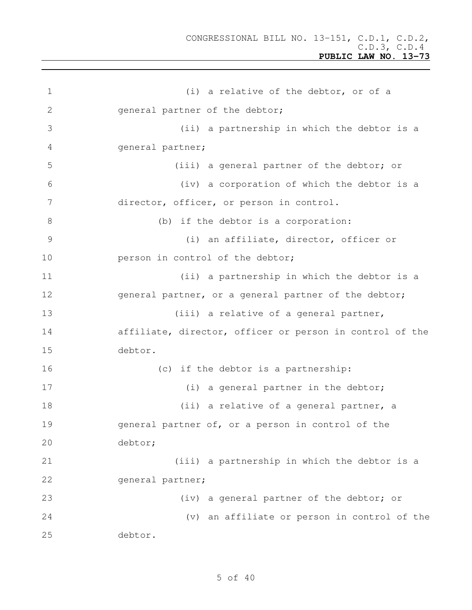| $\mathbf 1$   | (i) a relative of the debtor, or of a                    |
|---------------|----------------------------------------------------------|
| 2             | general partner of the debtor;                           |
| 3             | (ii) a partnership in which the debtor is a              |
| 4             | general partner;                                         |
| 5             | (iii) a general partner of the debtor; or                |
| 6             | (iv) a corporation of which the debtor is a              |
| 7             | director, officer, or person in control.                 |
| 8             | (b) if the debtor is a corporation:                      |
| $\mathcal{G}$ | (i) an affiliate, director, officer or                   |
| 10            | person in control of the debtor;                         |
| 11            | (ii) a partnership in which the debtor is a              |
| 12            | general partner, or a general partner of the debtor;     |
| 13            | (iii) a relative of a general partner,                   |
| 14            | affiliate, director, officer or person in control of the |
| 15            | debtor.                                                  |
| 16            | (c) if the debtor is a partnership:                      |
| 17            | (i) a general partner in the debtor;                     |
| 18            | (ii) a relative of a general partner, a                  |
| 19            | general partner of, or a person in control of the        |
| 20            | debtor;                                                  |
| 21            | (iii) a partnership in which the debtor is a             |
| 22            | general partner;                                         |
| 23            | (iv) a general partner of the debtor; or                 |
| 24            | (v) an affiliate or person in control of the             |
| 25            | debtor.                                                  |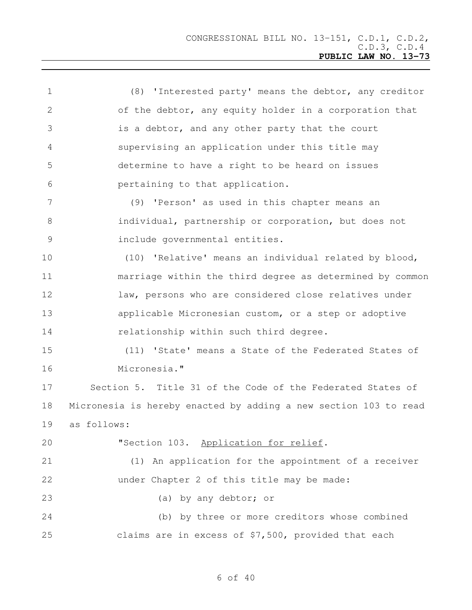| $\mathbf 1$     | (8) 'Interested party' means the debtor, any creditor            |
|-----------------|------------------------------------------------------------------|
| 2               | of the debtor, any equity holder in a corporation that           |
| 3               | is a debtor, and any other party that the court                  |
| 4               | supervising an application under this title may                  |
| 5               | determine to have a right to be heard on issues                  |
| 6               | pertaining to that application.                                  |
| $7\phantom{.0}$ | (9) 'Person' as used in this chapter means an                    |
| 8               | individual, partnership or corporation, but does not             |
| $\mathcal{G}$   | include governmental entities.                                   |
| 10              | (10) 'Relative' means an individual related by blood,            |
| 11              | marriage within the third degree as determined by common         |
| 12              | law, persons who are considered close relatives under            |
| 13              | applicable Micronesian custom, or a step or adoptive             |
| 14              | relationship within such third degree.                           |
| 15              | (11) 'State' means a State of the Federated States of            |
| 16              | Micronesia."                                                     |
| 17              | Section 5. Title 31 of the Code of the Federated States of       |
| 18              | Micronesia is hereby enacted by adding a new section 103 to read |
| 19              | as follows:                                                      |
| 20              | "Section 103. Application for relief.                            |
| 21              | (1) An application for the appointment of a receiver             |
| 22              | under Chapter 2 of this title may be made:                       |
| 23              | (a) by any debtor; or                                            |
| 24              | (b) by three or more creditors whose combined                    |
| 25              | claims are in excess of \$7,500, provided that each              |
|                 |                                                                  |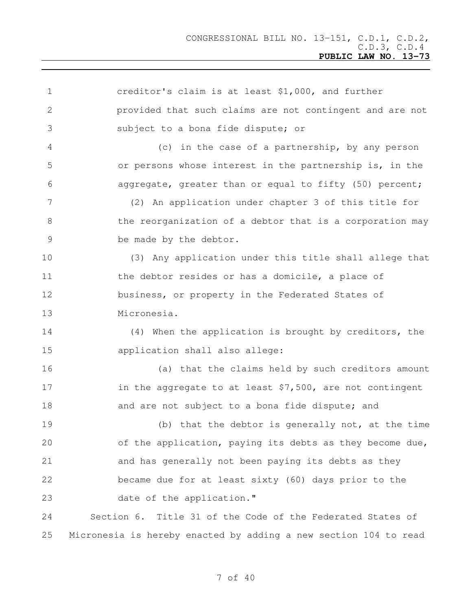| $\mathbf 1$    | creditor's claim is at least \$1,000, and further                |
|----------------|------------------------------------------------------------------|
| 2              | provided that such claims are not contingent and are not         |
| 3              | subject to a bona fide dispute; or                               |
| 4              | (c) in the case of a partnership, by any person                  |
| 5              | or persons whose interest in the partnership is, in the          |
| 6              | aggregate, greater than or equal to fifty (50) percent;          |
| 7              | (2) An application under chapter 3 of this title for             |
| 8              | the reorganization of a debtor that is a corporation may         |
| $\overline{9}$ | be made by the debtor.                                           |
| 10             | (3) Any application under this title shall allege that           |
| 11             | the debtor resides or has a domicile, a place of                 |
| 12             | business, or property in the Federated States of                 |
| 13             | Micronesia.                                                      |
| 14             | (4) When the application is brought by creditors, the            |
| 15             | application shall also allege:                                   |
| 16             | (a) that the claims held by such creditors amount                |
| 17             | in the aggregate to at least $$7,500$ , are not contingent       |
| 18             | and are not subject to a bona fide dispute; and                  |
| 19             | (b) that the debtor is generally not, at the time                |
| 20             | of the application, paying its debts as they become due,         |
| 21             | and has generally not been paying its debts as they              |
| 22             | became due for at least sixty (60) days prior to the             |
| 23             | date of the application."                                        |
| 24             | Section 6. Title 31 of the Code of the Federated States of       |
| 25             | Micronesia is hereby enacted by adding a new section 104 to read |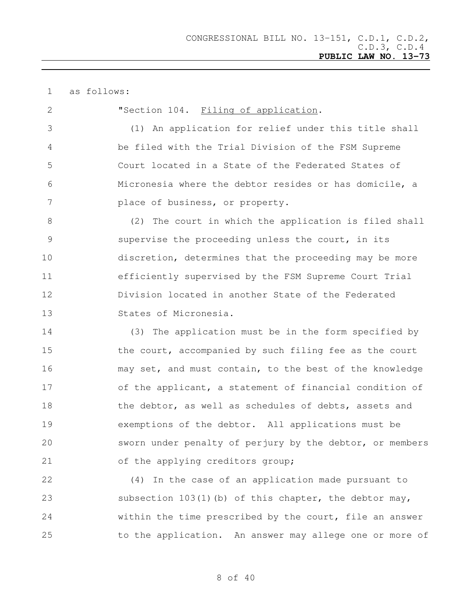as follows:

**"Section 104.** Filing of application.

 (1) An application for relief under this title shall be filed with the Trial Division of the FSM Supreme Court located in a State of the Federated States of Micronesia where the debtor resides or has domicile, a place of business, or property.

 (2) The court in which the application is filed shall supervise the proceeding unless the court, in its discretion, determines that the proceeding may be more efficiently supervised by the FSM Supreme Court Trial Division located in another State of the Federated States of Micronesia.

 (3) The application must be in the form specified by 15 the court, accompanied by such filing fee as the court may set, and must contain, to the best of the knowledge 17 of the applicant, a statement of financial condition of 18 the debtor, as well as schedules of debts, assets and exemptions of the debtor. All applications must be sworn under penalty of perjury by the debtor, or members of the applying creditors group;

 (4) In the case of an application made pursuant to subsection 103(1)(b) of this chapter, the debtor may, within the time prescribed by the court, file an answer to the application. An answer may allege one or more of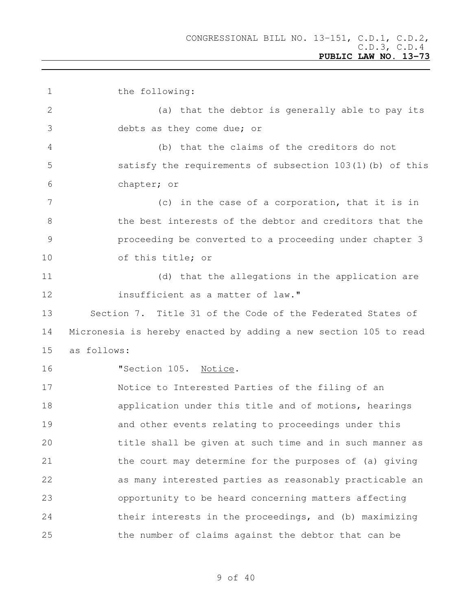the following: (a) that the debtor is generally able to pay its debts as they come due; or (b) that the claims of the creditors do not satisfy the requirements of subsection 103(1)(b) of this chapter; or (c) in the case of a corporation, that it is in the best interests of the debtor and creditors that the proceeding be converted to a proceeding under chapter 3 of this title; or (d) that the allegations in the application are insufficient as a matter of law." Section 7. Title 31 of the Code of the Federated States of Micronesia is hereby enacted by adding a new section 105 to read as follows: **"Section 105. Notice.**  Notice to Interested Parties of the filing of an **application under this title and of motions, hearings**  and other events relating to proceedings under this title shall be given at such time and in such manner as the court may determine for the purposes of (a) giving as many interested parties as reasonably practicable an opportunity to be heard concerning matters affecting their interests in the proceedings, and (b) maximizing the number of claims against the debtor that can be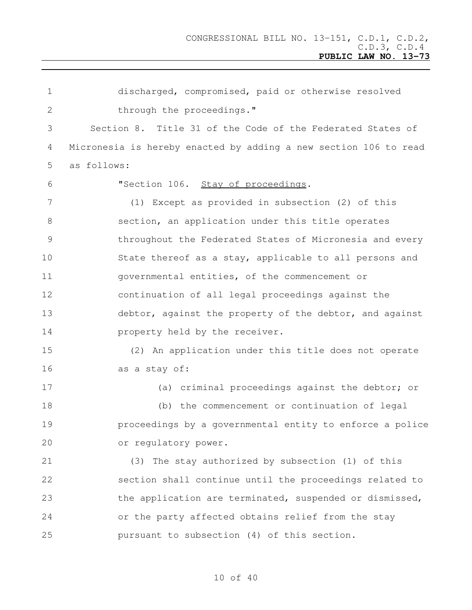discharged, compromised, paid or otherwise resolved 2 through the proceedings." Section 8. Title 31 of the Code of the Federated States of Micronesia is hereby enacted by adding a new section 106 to read as follows: "Section 106. Stay of proceedings. (1) Except as provided in subsection (2) of this section, an application under this title operates throughout the Federated States of Micronesia and every State thereof as a stay, applicable to all persons and governmental entities, of the commencement or continuation of all legal proceedings against the 13 debtor, against the property of the debtor, and against **property held by the receiver.**  (2) An application under this title does not operate as a stay of: (a) criminal proceedings against the debtor; or (b) the commencement or continuation of legal proceedings by a governmental entity to enforce a police or regulatory power. (3) The stay authorized by subsection (1) of this section shall continue until the proceedings related to 23 the application are terminated, suspended or dismissed, or the party affected obtains relief from the stay pursuant to subsection (4) of this section.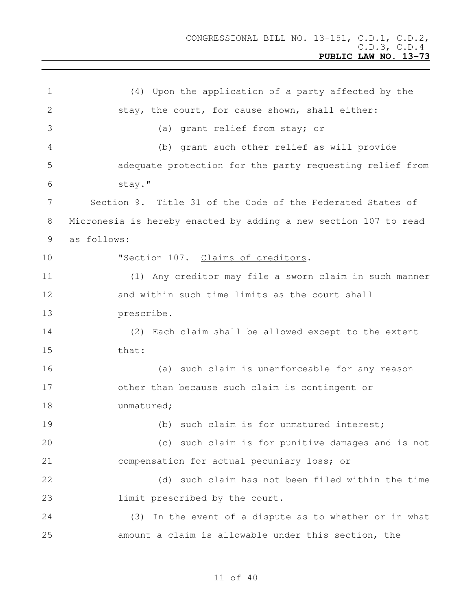(4) Upon the application of a party affected by the 2 stay, the court, for cause shown, shall either: (a) grant relief from stay; or (b) grant such other relief as will provide adequate protection for the party requesting relief from stay." Section 9. Title 31 of the Code of the Federated States of Micronesia is hereby enacted by adding a new section 107 to read as follows: **"Section 107.** Claims of creditors. (1) Any creditor may file a sworn claim in such manner and within such time limits as the court shall prescribe. (2) Each claim shall be allowed except to the extent that: (a) such claim is unenforceable for any reason other than because such claim is contingent or 18 unmatured; 19 (b) such claim is for unmatured interest; (c) such claim is for punitive damages and is not compensation for actual pecuniary loss; or (d) such claim has not been filed within the time **limit** prescribed by the court. (3) In the event of a dispute as to whether or in what amount a claim is allowable under this section, the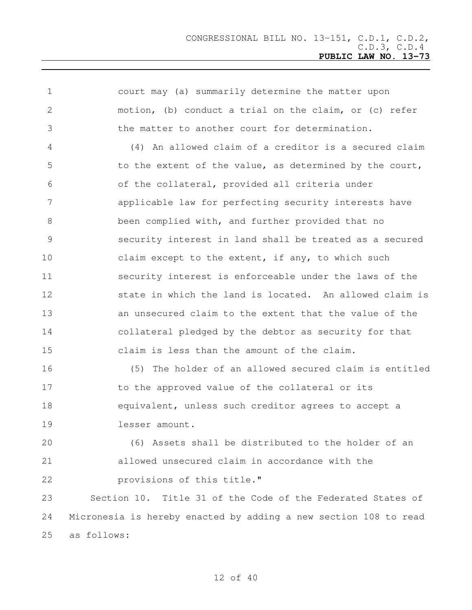| $\mathbf 1$ | court may (a) summarily determine the matter upon                |
|-------------|------------------------------------------------------------------|
| 2           | motion, (b) conduct a trial on the claim, or (c) refer           |
| 3           | the matter to another court for determination.                   |
| 4           | (4) An allowed claim of a creditor is a secured claim            |
| 5           | to the extent of the value, as determined by the court,          |
| 6           | of the collateral, provided all criteria under                   |
| 7           | applicable law for perfecting security interests have            |
| 8           | been complied with, and further provided that no                 |
| 9           | security interest in land shall be treated as a secured          |
| 10          | claim except to the extent, if any, to which such                |
| 11          | security interest is enforceable under the laws of the           |
| 12          | state in which the land is located. An allowed claim is          |
| 13          | an unsecured claim to the extent that the value of the           |
| 14          | collateral pledged by the debtor as security for that            |
| 15          | claim is less than the amount of the claim.                      |
| 16          | (5) The holder of an allowed secured claim is entitled           |
| 17          | to the approved value of the collateral or its                   |
| 18          | equivalent, unless such creditor agrees to accept a              |
| 19          | lesser amount.                                                   |
| 20          | (6) Assets shall be distributed to the holder of an              |
| 21          | allowed unsecured claim in accordance with the                   |
| 22          | provisions of this title."                                       |
| 23          | Section 10. Title 31 of the Code of the Federated States of      |
| 24          | Micronesia is hereby enacted by adding a new section 108 to read |
| 25          | as follows:                                                      |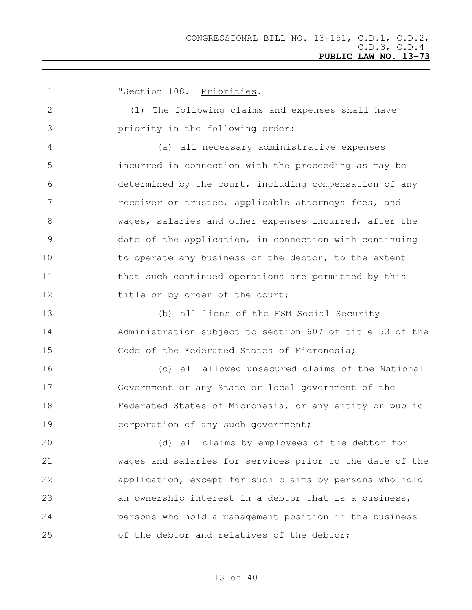**"Section 108. Priorities.**  (1) The following claims and expenses shall have priority in the following order: (a) all necessary administrative expenses incurred in connection with the proceeding as may be determined by the court, including compensation of any receiver or trustee, applicable attorneys fees, and wages, salaries and other expenses incurred, after the date of the application, in connection with continuing 10 to operate any business of the debtor, to the extent 11 that such continued operations are permitted by this 12 title or by order of the court; (b) all liens of the FSM Social Security Administration subject to section 607 of title 53 of the Code of the Federated States of Micronesia; (c) all allowed unsecured claims of the National Government or any State or local government of the Federated States of Micronesia, or any entity or public 19 corporation of any such government; (d) all claims by employees of the debtor for wages and salaries for services prior to the date of the application, except for such claims by persons who hold an ownership interest in a debtor that is a business, persons who hold a management position in the business of the debtor and relatives of the debtor;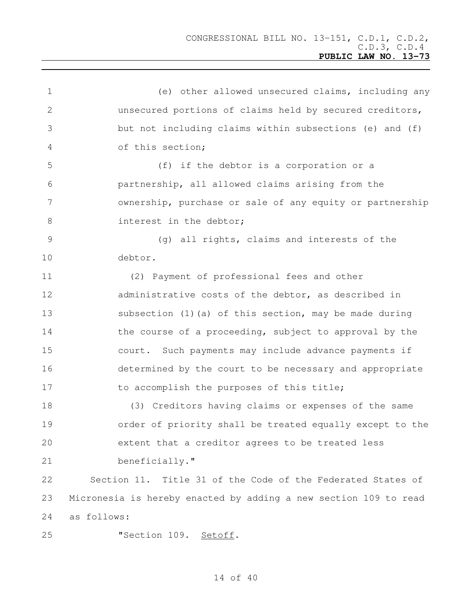| $\mathbf 1$     | (e) other allowed unsecured claims, including any                |
|-----------------|------------------------------------------------------------------|
| 2               | unsecured portions of claims held by secured creditors,          |
| 3               | but not including claims within subsections (e) and (f)          |
| 4               | of this section;                                                 |
| 5               | (f) if the debtor is a corporation or a                          |
| 6               | partnership, all allowed claims arising from the                 |
| $7\phantom{.0}$ | ownership, purchase or sale of any equity or partnership         |
| 8               | interest in the debtor;                                          |
| 9               | (g) all rights, claims and interests of the                      |
| 10              | debtor.                                                          |
| 11              | (2) Payment of professional fees and other                       |
| 12              | administrative costs of the debtor, as described in              |
| 13              | subsection (1) (a) of this section, may be made during           |
| 14              | the course of a proceeding, subject to approval by the           |
| 15              | court. Such payments may include advance payments if             |
| 16              | determined by the court to be necessary and appropriate          |
| 17              | to accomplish the purposes of this title;                        |
| 18              | (3) Creditors having claims or expenses of the same              |
| 19              | order of priority shall be treated equally except to the         |
| 20              | extent that a creditor agrees to be treated less                 |
| 21              | beneficially."                                                   |
| 22              | Section 11. Title 31 of the Code of the Federated States of      |
| 23              | Micronesia is hereby enacted by adding a new section 109 to read |
| 24              | as follows:                                                      |
| 25              | "Section 109. Setoff.                                            |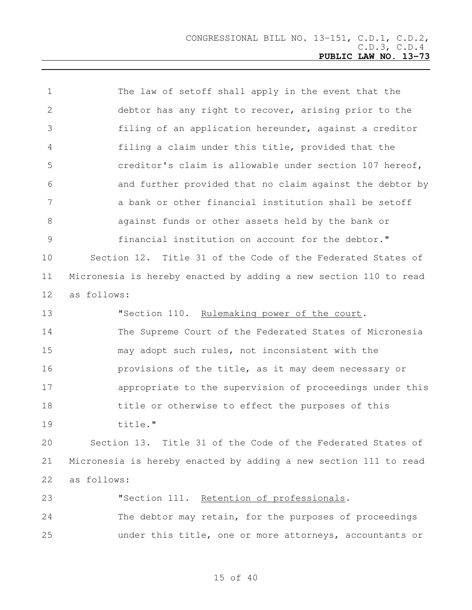The law of setoff shall apply in the event that the debtor has any right to recover, arising prior to the filing of an application hereunder, against a creditor filing a claim under this title, provided that the creditor's claim is allowable under section 107 hereof, and further provided that no claim against the debtor by a bank or other financial institution shall be setoff against funds or other assets held by the bank or financial institution on account for the debtor." Section 12. Title 31 of the Code of the Federated States of Micronesia is hereby enacted by adding a new section 110 to read as follows: 13 "Section 110. Rulemaking power of the court. The Supreme Court of the Federated States of Micronesia may adopt such rules, not inconsistent with the provisions of the title, as it may deem necessary or appropriate to the supervision of proceedings under this title or otherwise to effect the purposes of this title." Section 13. Title 31 of the Code of the Federated States of Micronesia is hereby enacted by adding a new section 111 to read as follows: "Section 111. Retention of professionals. The debtor may retain, for the purposes of proceedings

under this title, one or more attorneys, accountants or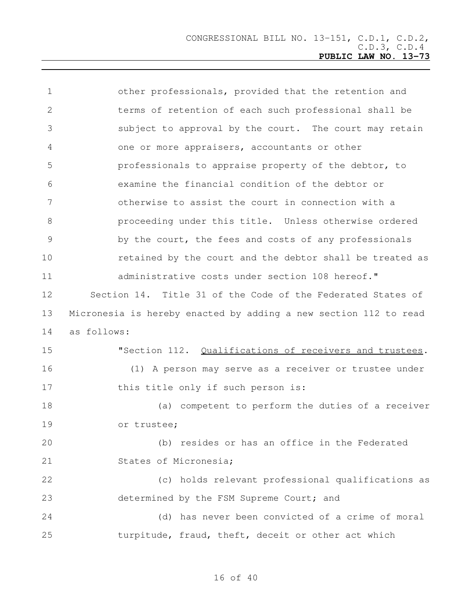| $\mathbf 1$     | other professionals, provided that the retention and             |
|-----------------|------------------------------------------------------------------|
| 2               | terms of retention of each such professional shall be            |
| 3               | subject to approval by the court. The court may retain           |
| 4               | one or more appraisers, accountants or other                     |
| 5               | professionals to appraise property of the debtor, to             |
| 6               | examine the financial condition of the debtor or                 |
| $7\phantom{.0}$ | otherwise to assist the court in connection with a               |
| $8\,$           | proceeding under this title. Unless otherwise ordered            |
| $\overline{9}$  | by the court, the fees and costs of any professionals            |
| 10              | retained by the court and the debtor shall be treated as         |
| 11              | administrative costs under section 108 hereof."                  |
| 12              | Section 14. Title 31 of the Code of the Federated States of      |
| 13              | Micronesia is hereby enacted by adding a new section 112 to read |
| 14              | as follows:                                                      |
| 15              | "Section 112. Qualifications of receivers and trustees.          |
| 16              | (1) A person may serve as a receiver or trustee under            |
| 17              | this title only if such person is:                               |
| 18              | (a) competent to perform the duties of a receiver                |
| 19              | or trustee;                                                      |
| 20              | (b) resides or has an office in the Federated                    |
| 21              | States of Micronesia;                                            |
| 22              | (c) holds relevant professional qualifications as                |
| 23              | determined by the FSM Supreme Court; and                         |
| 24              | (d) has never been convicted of a crime of moral                 |
| 25              | turpitude, fraud, theft, deceit or other act which               |
|                 |                                                                  |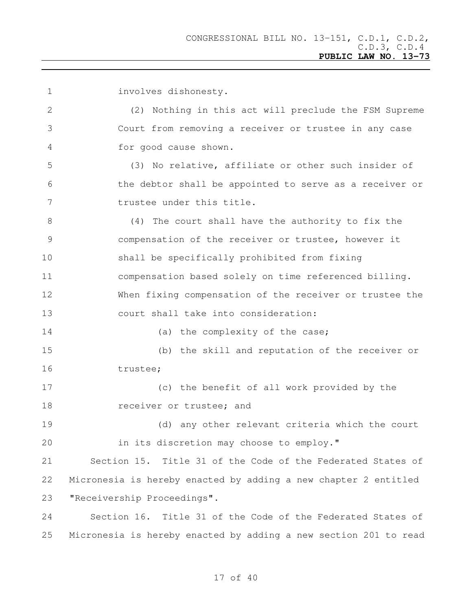involves dishonesty. (2) Nothing in this act will preclude the FSM Supreme Court from removing a receiver or trustee in any case for good cause shown. (3) No relative, affiliate or other such insider of the debtor shall be appointed to serve as a receiver or 7 trustee under this title. (4) The court shall have the authority to fix the compensation of the receiver or trustee, however it shall be specifically prohibited from fixing compensation based solely on time referenced billing. When fixing compensation of the receiver or trustee the court shall take into consideration: 14 (a) the complexity of the case; (b) the skill and reputation of the receiver or trustee; (c) the benefit of all work provided by the 18 receiver or trustee; and (d) any other relevant criteria which the court in its discretion may choose to employ." Section 15. Title 31 of the Code of the Federated States of Micronesia is hereby enacted by adding a new chapter 2 entitled "Receivership Proceedings". Section 16. Title 31 of the Code of the Federated States of Micronesia is hereby enacted by adding a new section 201 to read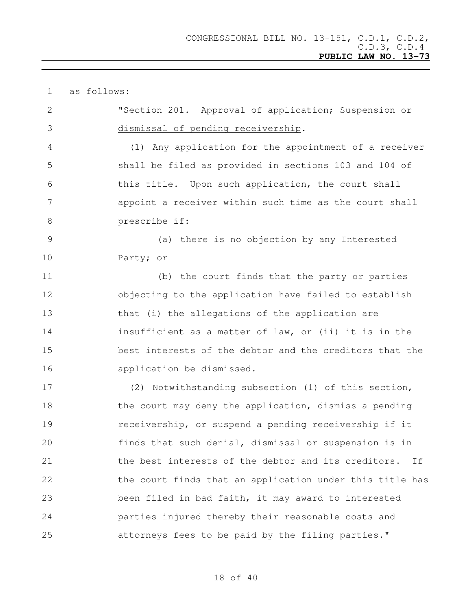| $\mathbf 1$   | as follows:                                               |
|---------------|-----------------------------------------------------------|
| 2             | "Section 201. Approval of application; Suspension or      |
| 3             | dismissal of pending receivership.                        |
| 4             | (1) Any application for the appointment of a receiver     |
| 5             | shall be filed as provided in sections 103 and 104 of     |
| 6             | this title. Upon such application, the court shall        |
| 7             | appoint a receiver within such time as the court shall    |
| 8             | prescribe if:                                             |
| $\mathcal{G}$ | (a) there is no objection by any Interested               |
| 10            | Party; or                                                 |
| 11            | (b) the court finds that the party or parties             |
| 12            | objecting to the application have failed to establish     |
| 13            | that (i) the allegations of the application are           |
| 14            | insufficient as a matter of law, or (ii) it is in the     |
| 15            | best interests of the debtor and the creditors that the   |
| 16            | application be dismissed.                                 |
| 17            | (2) Notwithstanding subsection (1) of this section,       |
| 18            | the court may deny the application, dismiss a pending     |
| 19            | receivership, or suspend a pending receivership if it     |
| 20            | finds that such denial, dismissal or suspension is in     |
| 21            | the best interests of the debtor and its creditors.<br>Ιf |
| 22            | the court finds that an application under this title has  |
| 23            | been filed in bad faith, it may award to interested       |
| 24            | parties injured thereby their reasonable costs and        |
| 25            | attorneys fees to be paid by the filing parties."         |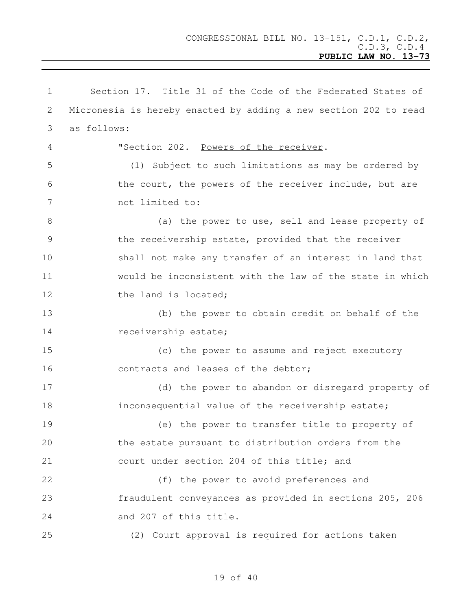Section 17. Title 31 of the Code of the Federated States of Micronesia is hereby enacted by adding a new section 202 to read as follows: "Section 202. Powers of the receiver. (1) Subject to such limitations as may be ordered by 6 the court, the powers of the receiver include, but are not limited to: (a) the power to use, sell and lease property of the receivership estate, provided that the receiver shall not make any transfer of an interest in land that would be inconsistent with the law of the state in which 12 the land is located; (b) the power to obtain credit on behalf of the 14 receivership estate; (c) the power to assume and reject executory 16 contracts and leases of the debtor; (d) the power to abandon or disregard property of inconsequential value of the receivership estate; (e) the power to transfer title to property of the estate pursuant to distribution orders from the court under section 204 of this title; and (f) the power to avoid preferences and fraudulent conveyances as provided in sections 205, 206 and 207 of this title. (2) Court approval is required for actions taken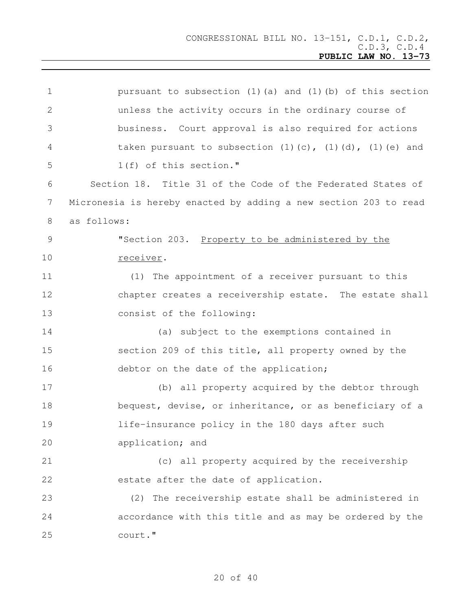| pursuant to subsection $(1)$ $(a)$ and $(1)$ $(b)$ of this section       |
|--------------------------------------------------------------------------|
| unless the activity occurs in the ordinary course of                     |
| business. Court approval is also required for actions                    |
| taken pursuant to subsection $(1)$ $(c)$ , $(1)$ $(d)$ , $(1)$ $(e)$ and |
| 1(f) of this section."                                                   |
| Section 18. Title 31 of the Code of the Federated States of              |
| Micronesia is hereby enacted by adding a new section 203 to read         |
| as follows:                                                              |
| "Section 203. Property to be administered by the                         |
| receiver.                                                                |
| (1) The appointment of a receiver pursuant to this                       |
| chapter creates a receivership estate. The estate shall                  |
| consist of the following:                                                |
| (a) subject to the exemptions contained in                               |
| section 209 of this title, all property owned by the                     |
| debtor on the date of the application;                                   |
| (b) all property acquired by the debtor through                          |
| bequest, devise, or inheritance, or as beneficiary of a                  |
| life-insurance policy in the 180 days after such                         |
| application; and                                                         |
| (c) all property acquired by the receivership                            |
| estate after the date of application.                                    |
| (2) The receivership estate shall be administered in                     |
| accordance with this title and as may be ordered by the                  |
| court."                                                                  |
|                                                                          |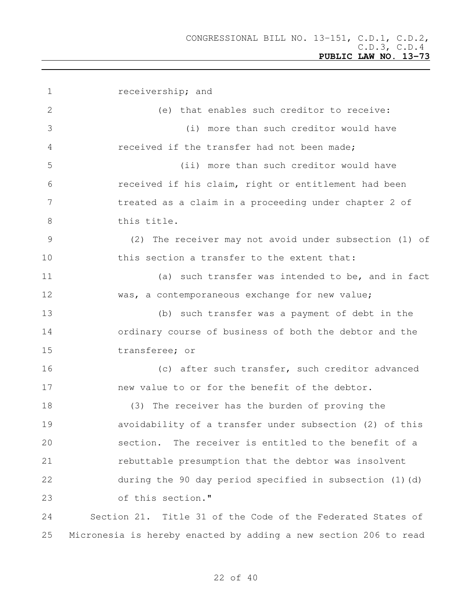| $\mathbf 1$    | receivership; and                                                |
|----------------|------------------------------------------------------------------|
| $\overline{2}$ | (e) that enables such creditor to receive:                       |
| 3              | (i) more than such creditor would have                           |
| 4              | received if the transfer had not been made;                      |
| 5              | (ii) more than such creditor would have                          |
| 6              | received if his claim, right or entitlement had been             |
| 7              | treated as a claim in a proceeding under chapter 2 of            |
| 8              | this title.                                                      |
| $\mathcal{G}$  | (2) The receiver may not avoid under subsection (1) of           |
| 10             | this section a transfer to the extent that:                      |
| 11             | (a) such transfer was intended to be, and in fact                |
| 12             | was, a contemporaneous exchange for new value;                   |
| 13             | (b) such transfer was a payment of debt in the                   |
| 14             | ordinary course of business of both the debtor and the           |
| 15             | transferee; or                                                   |
| 16             | (c) after such transfer, such creditor advanced                  |
| 17             | new value to or for the benefit of the debtor.                   |
| 18             | (3) The receiver has the burden of proving the                   |
| 19             | avoidability of a transfer under subsection (2) of this          |
| 20             | The receiver is entitled to the benefit of a<br>section.         |
| 21             | rebuttable presumption that the debtor was insolvent             |
| 22             | during the 90 day period specified in subsection (1)(d)          |
| 23             | of this section."                                                |
| 24             | Section 21. Title 31 of the Code of the Federated States of      |
| 25             | Micronesia is hereby enacted by adding a new section 206 to read |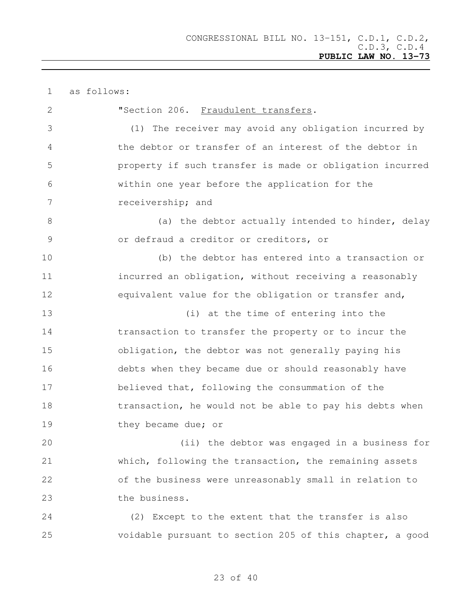| $\mathbf 1$   | as follows:                                              |
|---------------|----------------------------------------------------------|
| $\mathbf{2}$  | "Section 206. Fraudulent transfers.                      |
| 3             | (1) The receiver may avoid any obligation incurred by    |
| 4             | the debtor or transfer of an interest of the debtor in   |
| 5             | property if such transfer is made or obligation incurred |
| 6             | within one year before the application for the           |
| 7             | receivership; and                                        |
| $8\,$         | (a) the debtor actually intended to hinder, delay        |
| $\mathcal{G}$ | or defraud a creditor or creditors, or                   |
| 10            | (b) the debtor has entered into a transaction or         |
| 11            | incurred an obligation, without receiving a reasonably   |
| 12            | equivalent value for the obligation or transfer and,     |
| 13            | (i) at the time of entering into the                     |
| 14            | transaction to transfer the property or to incur the     |
| 15            | obligation, the debtor was not generally paying his      |
| 16            | debts when they became due or should reasonably have     |
| 17            | believed that, following the consummation of the         |
| 18            | transaction, he would not be able to pay his debts when  |
| 19            | they became due; or                                      |
| 20            | (ii) the debtor was engaged in a business for            |
| 21            | which, following the transaction, the remaining assets   |
| 22            | of the business were unreasonably small in relation to   |
| 23            | the business.                                            |
| 24            | (2) Except to the extent that the transfer is also       |
| 25            | voidable pursuant to section 205 of this chapter, a good |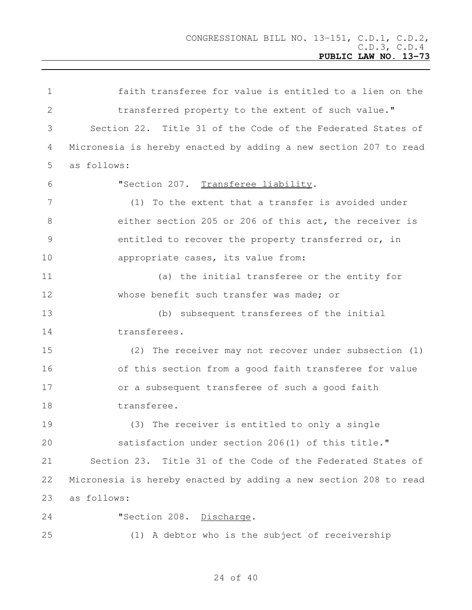faith transferee for value is entitled to a lien on the 2 transferred property to the extent of such value." Section 22. Title 31 of the Code of the Federated States of Micronesia is hereby enacted by adding a new section 207 to read as follows: "Section 207. Transferee liability. (1) To the extent that a transfer is avoided under either section 205 or 206 of this act, the receiver is entitled to recover the property transferred or, in 10 appropriate cases, its value from: (a) the initial transferee or the entity for 12 whose benefit such transfer was made; or (b) subsequent transferees of the initial transferees. (2) The receiver may not recover under subsection (1) of this section from a good faith transferee for value or a subsequent transferee of such a good faith transferee. (3) The receiver is entitled to only a single satisfaction under section 206(1) of this title." Section 23. Title 31 of the Code of the Federated States of Micronesia is hereby enacted by adding a new section 208 to read as follows: 24 "Section 208. Discharge. (1) A debtor who is the subject of receivership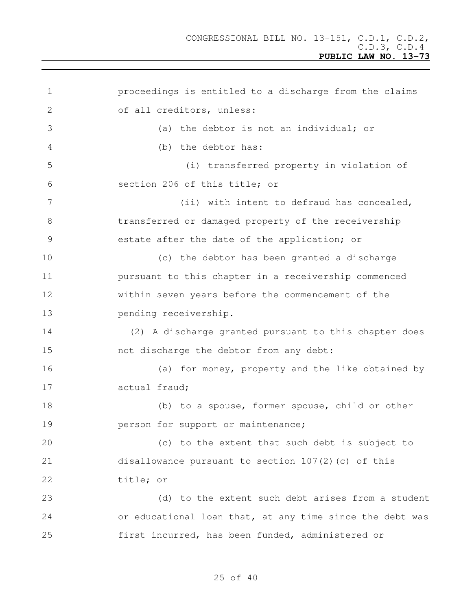proceedings is entitled to a discharge from the claims 2 of all creditors, unless: (a) the debtor is not an individual; or (b) the debtor has: (i) transferred property in violation of section 206 of this title; or 7 (ii) with intent to defraud has concealed, transferred or damaged property of the receivership estate after the date of the application; or (c) the debtor has been granted a discharge pursuant to this chapter in a receivership commenced within seven years before the commencement of the pending receivership. (2) A discharge granted pursuant to this chapter does not discharge the debtor from any debt: (a) for money, property and the like obtained by actual fraud; (b) to a spouse, former spouse, child or other **person for support or maintenance;**  (c) to the extent that such debt is subject to disallowance pursuant to section 107(2)(c) of this title; or (d) to the extent such debt arises from a student or educational loan that, at any time since the debt was first incurred, has been funded, administered or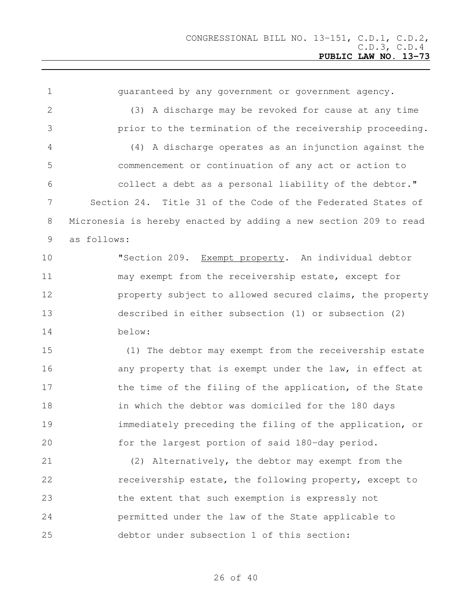| $\mathbf 1$    | quaranteed by any government or government agency.               |  |
|----------------|------------------------------------------------------------------|--|
| 2              | (3) A discharge may be revoked for cause at any time             |  |
| 3              | prior to the termination of the receivership proceeding.         |  |
| 4              | (4) A discharge operates as an injunction against the            |  |
| 5              | commencement or continuation of any act or action to             |  |
| 6              | collect a debt as a personal liability of the debtor."           |  |
| $\overline{7}$ | Section 24. Title 31 of the Code of the Federated States of      |  |
| 8              | Micronesia is hereby enacted by adding a new section 209 to read |  |
| 9              | as follows:                                                      |  |
| 10             | "Section 209.<br>Exempt property. An individual debtor           |  |
| 11             | may exempt from the receivership estate, except for              |  |
| 12             | property subject to allowed secured claims, the property         |  |
| 13             | described in either subsection (1) or subsection (2)             |  |
| 14             | below:                                                           |  |
| 15             | (1) The debtor may exempt from the receivership estate           |  |
| 16             | any property that is exempt under the law, in effect at          |  |
| 17             | the time of the filing of the application, of the State          |  |
| 18             | in which the debtor was domiciled for the 180 days               |  |
| 19             | immediately preceding the filing of the application, or          |  |
| 20             | for the largest portion of said 180-day period.                  |  |
| 21             | (2) Alternatively, the debtor may exempt from the                |  |
| 22             | receivership estate, the following property, except to           |  |
| 23             | the extent that such exemption is expressly not                  |  |
| 24             | permitted under the law of the State applicable to               |  |
| 25             | debtor under subsection 1 of this section:                       |  |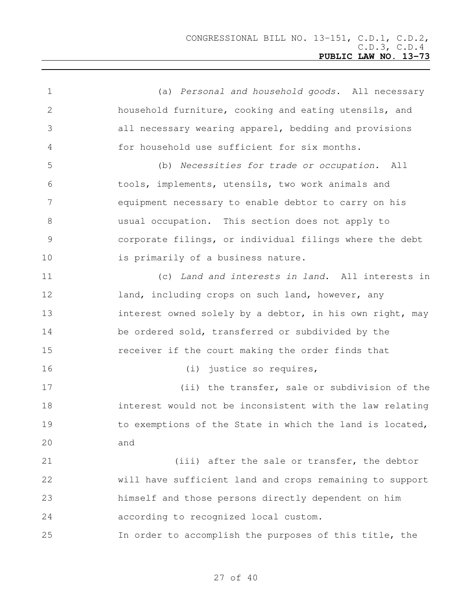(a) *Personal and household goods*. All necessary household furniture, cooking and eating utensils, and all necessary wearing apparel, bedding and provisions for household use sufficient for six months. (b) *Necessities for trade or occupation.* All tools, implements, utensils, two work animals and equipment necessary to enable debtor to carry on his usual occupation. This section does not apply to corporate filings, or individual filings where the debt 10 is primarily of a business nature. (c) *Land and interests in land*. All interests in 12 land, including crops on such land, however, any 13 interest owned solely by a debtor, in his own right, may be ordered sold, transferred or subdivided by the receiver if the court making the order finds that (i) justice so requires, 17 (ii) the transfer, sale or subdivision of the interest would not be inconsistent with the law relating 19 to exemptions of the State in which the land is located, and 21 (iii) after the sale or transfer, the debtor will have sufficient land and crops remaining to support himself and those persons directly dependent on him according to recognized local custom. In order to accomplish the purposes of this title, the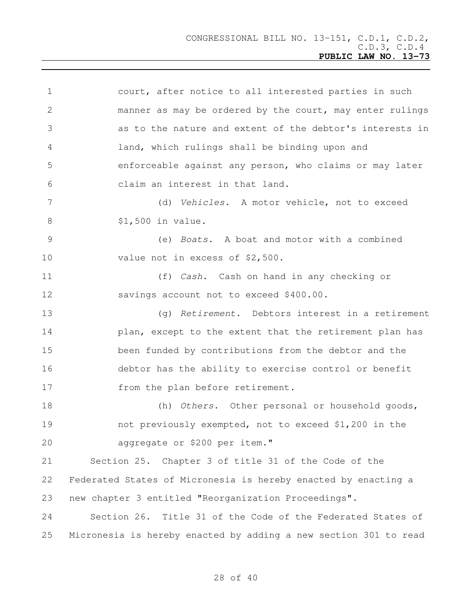| $\mathbf 1$    | court, after notice to all interested parties in such            |  |
|----------------|------------------------------------------------------------------|--|
| $\overline{2}$ | manner as may be ordered by the court, may enter rulings         |  |
| 3              | as to the nature and extent of the debtor's interests in         |  |
| 4              | land, which rulings shall be binding upon and                    |  |
| 5              | enforceable against any person, who claims or may later          |  |
| 6              | claim an interest in that land.                                  |  |
| 7              | (d) Vehicles. A motor vehicle, not to exceed                     |  |
| 8              | \$1,500 in value.                                                |  |
| $\mathcal{G}$  | (e) Boats. A boat and motor with a combined                      |  |
| 10             | value not in excess of \$2,500.                                  |  |
| 11             | (f) Cash. Cash on hand in any checking or                        |  |
| 12             | savings account not to exceed \$400.00.                          |  |
| 13             | (q) Retirement. Debtors interest in a retirement                 |  |
| 14             | plan, except to the extent that the retirement plan has          |  |
| 15             | been funded by contributions from the debtor and the             |  |
| 16             | debtor has the ability to exercise control or benefit            |  |
| 17             | from the plan before retirement.                                 |  |
| 18             | (h) Others. Other personal or household goods,                   |  |
| 19             | not previously exempted, not to exceed \$1,200 in the            |  |
| 20             | aggregate or \$200 per item."                                    |  |
| 21             | Section 25. Chapter 3 of title 31 of the Code of the             |  |
| 22             | Federated States of Micronesia is hereby enacted by enacting a   |  |
| 23             | new chapter 3 entitled "Reorganization Proceedings".             |  |
| 24             | Section 26. Title 31 of the Code of the Federated States of      |  |
| 25             | Micronesia is hereby enacted by adding a new section 301 to read |  |
|                |                                                                  |  |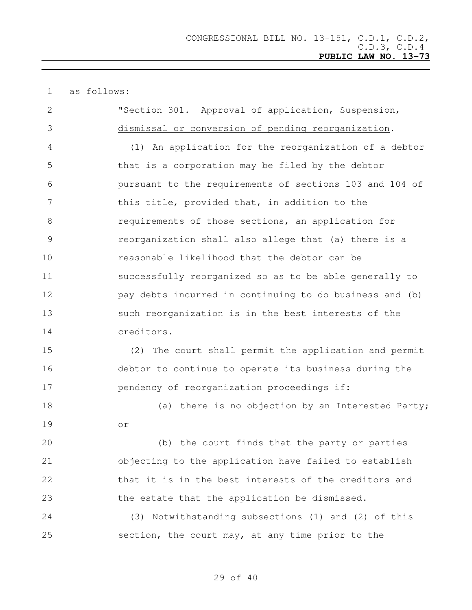as follows: "Section 301. Approval of application, Suspension, dismissal or conversion of pending reorganization. (1) An application for the reorganization of a debtor that is a corporation may be filed by the debtor pursuant to the requirements of sections 103 and 104 of this title, provided that, in addition to the requirements of those sections, an application for reorganization shall also allege that (a) there is a reasonable likelihood that the debtor can be successfully reorganized so as to be able generally to pay debts incurred in continuing to do business and (b) such reorganization is in the best interests of the creditors. (2) The court shall permit the application and permit debtor to continue to operate its business during the pendency of reorganization proceedings if: 18 (a) there is no objection by an Interested Party; or (b) the court finds that the party or parties objecting to the application have failed to establish 22 that it is in the best interests of the creditors and the estate that the application be dismissed. (3) Notwithstanding subsections (1) and (2) of this

section, the court may, at any time prior to the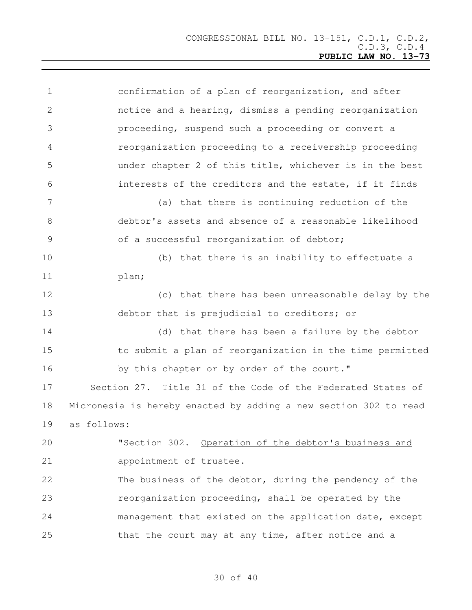| $\mathbf 1$   | confirmation of a plan of reorganization, and after              |  |
|---------------|------------------------------------------------------------------|--|
| 2             | notice and a hearing, dismiss a pending reorganization           |  |
| 3             | proceeding, suspend such a proceeding or convert a               |  |
| 4             | reorganization proceeding to a receivership proceeding           |  |
| 5             | under chapter 2 of this title, whichever is in the best          |  |
| 6             | interests of the creditors and the estate, if it finds           |  |
| 7             | (a) that there is continuing reduction of the                    |  |
| 8             | debtor's assets and absence of a reasonable likelihood           |  |
| $\mathcal{G}$ | of a successful reorganization of debtor;                        |  |
| 10            | (b) that there is an inability to effectuate a                   |  |
| 11            | plan;                                                            |  |
| 12            | (c) that there has been unreasonable delay by the                |  |
| 13            | debtor that is prejudicial to creditors; or                      |  |
| 14            | (d) that there has been a failure by the debtor                  |  |
| 15            | to submit a plan of reorganization in the time permitted         |  |
| 16            | by this chapter or by order of the court."                       |  |
| 17            | Section 27. Title 31 of the Code of the Federated States of      |  |
| 18            | Micronesia is hereby enacted by adding a new section 302 to read |  |
| 19            | as follows:                                                      |  |
| 20            | "Section 302. Operation of the debtor's business and             |  |
| 21            | appointment of trustee.                                          |  |
| 22            | The business of the debtor, during the pendency of the           |  |
| 23            | reorganization proceeding, shall be operated by the              |  |
| 24            | management that existed on the application date, except          |  |
| 25            | that the court may at any time, after notice and a               |  |
|               |                                                                  |  |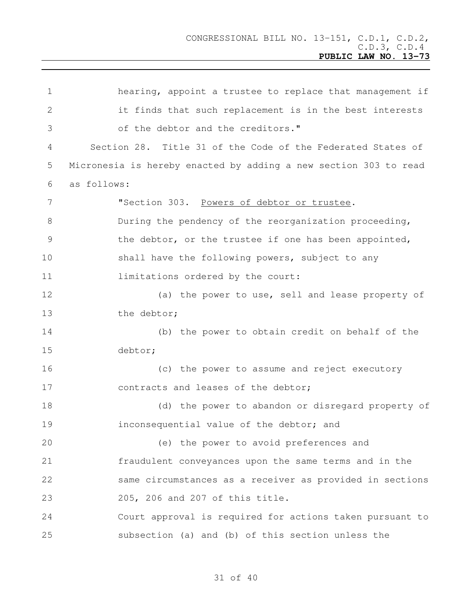hearing, appoint a trustee to replace that management if it finds that such replacement is in the best interests of the debtor and the creditors." Section 28. Title 31 of the Code of the Federated States of Micronesia is hereby enacted by adding a new section 303 to read as follows: "Section 303. Powers of debtor or trustee. During the pendency of the reorganization proceeding, the debtor, or the trustee if one has been appointed, 10 shall have the following powers, subject to any 11 limitations ordered by the court: (a) the power to use, sell and lease property of 13 the debtor: (b) the power to obtain credit on behalf of the debtor; (c) the power to assume and reject executory 17 contracts and leases of the debtor; (d) the power to abandon or disregard property of inconsequential value of the debtor; and (e) the power to avoid preferences and fraudulent conveyances upon the same terms and in the same circumstances as a receiver as provided in sections 205, 206 and 207 of this title. Court approval is required for actions taken pursuant to subsection (a) and (b) of this section unless the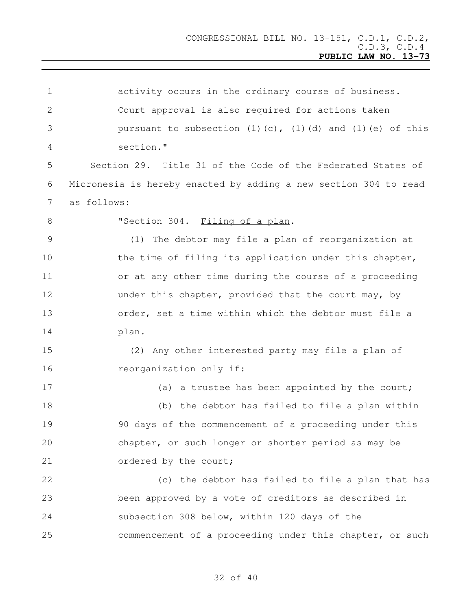| $\mathbf 1$ | activity occurs in the ordinary course of business.                      |  |
|-------------|--------------------------------------------------------------------------|--|
| 2           | Court approval is also required for actions taken                        |  |
| 3           | pursuant to subsection $(1)$ $(c)$ , $(1)$ $(d)$ and $(1)$ $(e)$ of this |  |
| 4           | section."                                                                |  |
| 5           | Section 29. Title 31 of the Code of the Federated States of              |  |
| 6           | Micronesia is hereby enacted by adding a new section 304 to read         |  |
| 7           | as follows:                                                              |  |
| 8           | "Section 304. Filing of a plan.                                          |  |
| 9           | (1) The debtor may file a plan of reorganization at                      |  |
| 10          | the time of filing its application under this chapter,                   |  |
| 11          | or at any other time during the course of a proceeding                   |  |
| 12          | under this chapter, provided that the court may, by                      |  |
| 13          | order, set a time within which the debtor must file a                    |  |
| 14          | plan.                                                                    |  |
| 15          | (2) Any other interested party may file a plan of                        |  |
| 16          | reorganization only if:                                                  |  |
| 17          | (a) a trustee has been appointed by the court;                           |  |
| 18          | (b) the debtor has failed to file a plan within                          |  |
| 19          | 90 days of the commencement of a proceeding under this                   |  |
| 20          | chapter, or such longer or shorter period as may be                      |  |
| 21          | ordered by the court;                                                    |  |
| 22          | (c) the debtor has failed to file a plan that has                        |  |
| 23          | been approved by a vote of creditors as described in                     |  |
| 24          | subsection 308 below, within 120 days of the                             |  |
| 25          | commencement of a proceeding under this chapter, or such                 |  |
|             |                                                                          |  |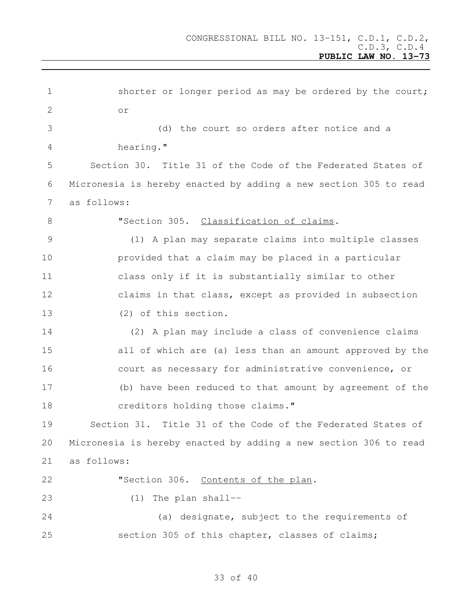| $\mathbf 1$    | shorter or longer period as may be ordered by the court;         |  |
|----------------|------------------------------------------------------------------|--|
| 2              | O <sub>T</sub>                                                   |  |
| 3              | (d) the court so orders after notice and a                       |  |
| 4              | hearing."                                                        |  |
| 5              | Section 30. Title 31 of the Code of the Federated States of      |  |
| 6              | Micronesia is hereby enacted by adding a new section 305 to read |  |
| 7              | as follows:                                                      |  |
| 8              | "Section 305. Classification of claims.                          |  |
| $\overline{9}$ | (1) A plan may separate claims into multiple classes             |  |
| 10             | provided that a claim may be placed in a particular              |  |
| 11             | class only if it is substantially similar to other               |  |
| 12             | claims in that class, except as provided in subsection           |  |
| 13             | (2) of this section.                                             |  |
| 14             | (2) A plan may include a class of convenience claims             |  |
| 15             | all of which are (a) less than an amount approved by the         |  |
| 16             | court as necessary for administrative convenience, or            |  |
| 17             | (b) have been reduced to that amount by agreement of the         |  |
| 18             | creditors holding those claims."                                 |  |
| 19             | Section 31. Title 31 of the Code of the Federated States of      |  |
| 20             | Micronesia is hereby enacted by adding a new section 306 to read |  |
| 21             | as follows:                                                      |  |
| 22             | "Section 306. Contents of the plan.                              |  |
| 23             | The plan shall--<br>(1)                                          |  |
| 24             | (a) designate, subject to the requirements of                    |  |
| 25             | section 305 of this chapter, classes of claims;                  |  |
|                |                                                                  |  |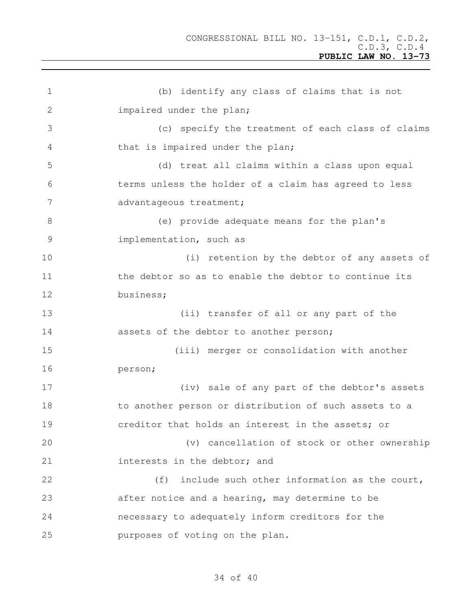```
1 (b) identify any class of claims that is not
2 impaired under the plan;
3 (c) specify the treatment of each class of claims
4 that is impaired under the plan;
5 (d) treat all claims within a class upon equal
6 terms unless the holder of a claim has agreed to less
7 advantageous treatment;
8 (e) provide adequate means for the plan's
9 implementation, such as
10 (i) retention by the debtor of any assets of
11 the debtor so as to enable the debtor to continue its
12 business;
13 (ii) transfer of all or any part of the
14 assets of the debtor to another person;
15 (iii) merger or consolidation with another
16 person;
17 (iv) sale of any part of the debtor's assets
18 to another person or distribution of such assets to a
19 creditor that holds an interest in the assets; or
20 (v) cancellation of stock or other ownership
21 interests in the debtor; and
22 (f) include such other information as the court,
23 after notice and a hearing, may determine to be
24 necessary to adequately inform creditors for the
25 purposes of voting on the plan.
```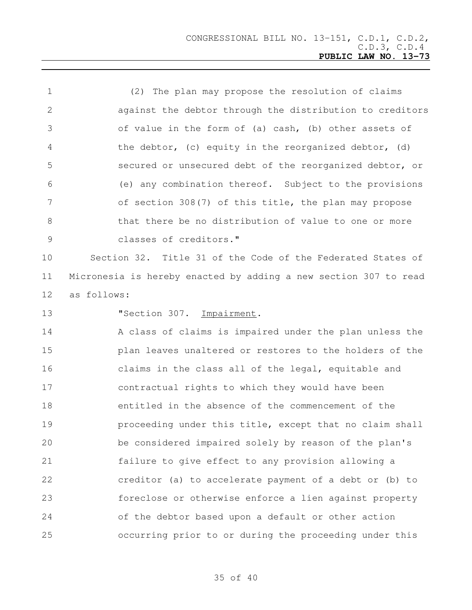(2) The plan may propose the resolution of claims against the debtor through the distribution to creditors of value in the form of (a) cash, (b) other assets of the debtor, (c) equity in the reorganized debtor, (d) secured or unsecured debt of the reorganized debtor, or (e) any combination thereof. Subject to the provisions of section 308(7) of this title, the plan may propose that there be no distribution of value to one or more classes of creditors."

 Section 32. Title 31 of the Code of the Federated States of Micronesia is hereby enacted by adding a new section 307 to read as follows:

**"Section 307. Impairment.** 

14 A class of claims is impaired under the plan unless the plan leaves unaltered or restores to the holders of the claims in the class all of the legal, equitable and contractual rights to which they would have been entitled in the absence of the commencement of the **proceeding under this title, except that no claim shall**  be considered impaired solely by reason of the plan's failure to give effect to any provision allowing a creditor (a) to accelerate payment of a debt or (b) to foreclose or otherwise enforce a lien against property of the debtor based upon a default or other action occurring prior to or during the proceeding under this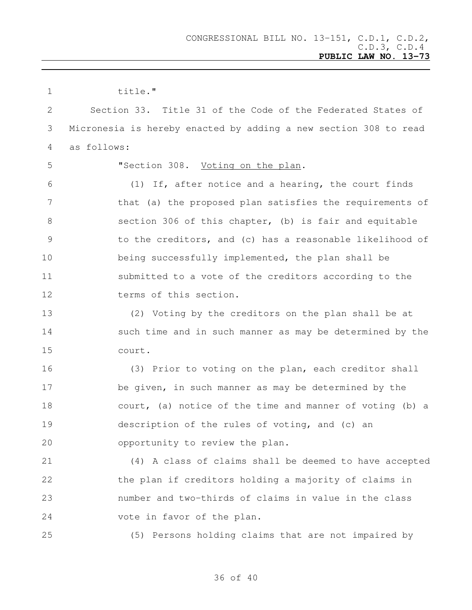| $\mathbf 1$    | title."                                                          |  |
|----------------|------------------------------------------------------------------|--|
| 2              | Section 33. Title 31 of the Code of the Federated States of      |  |
| 3              | Micronesia is hereby enacted by adding a new section 308 to read |  |
| 4              | as follows:                                                      |  |
| 5              | "Section 308. Voting on the plan.                                |  |
| 6              | (1) If, after notice and a hearing, the court finds              |  |
| 7              | that (a) the proposed plan satisfies the requirements of         |  |
| 8              | section 306 of this chapter, (b) is fair and equitable           |  |
| $\overline{9}$ | to the creditors, and (c) has a reasonable likelihood of         |  |
| 10             | being successfully implemented, the plan shall be                |  |
| 11             | submitted to a vote of the creditors according to the            |  |
| 12             | terms of this section.                                           |  |
| 13             | (2) Voting by the creditors on the plan shall be at              |  |
| 14             | such time and in such manner as may be determined by the         |  |
| 15             | court.                                                           |  |
| 16             | (3) Prior to voting on the plan, each creditor shall             |  |
| 17             | be given, in such manner as may be determined by the             |  |
| 18             | court, (a) notice of the time and manner of voting (b) a         |  |
| 19             | description of the rules of voting, and (c) an                   |  |
| 20             | opportunity to review the plan.                                  |  |
| 21             | (4) A class of claims shall be deemed to have accepted           |  |
| 22             | the plan if creditors holding a majority of claims in            |  |
| 23             | number and two-thirds of claims in value in the class            |  |
| 24             | vote in favor of the plan.                                       |  |
| 25             | (5) Persons holding claims that are not impaired by              |  |
|                |                                                                  |  |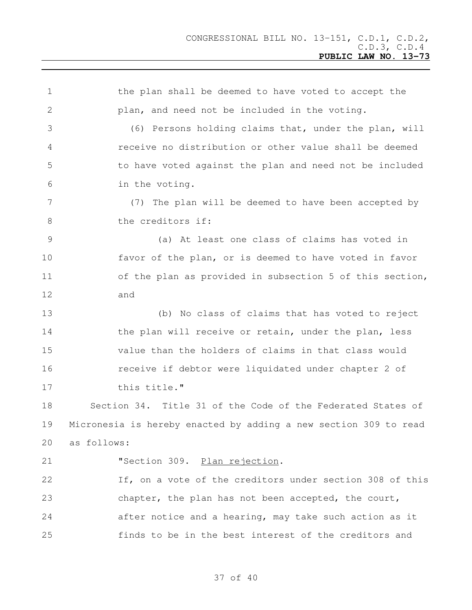the plan shall be deemed to have voted to accept the plan, and need not be included in the voting. (6) Persons holding claims that, under the plan, will receive no distribution or other value shall be deemed to have voted against the plan and need not be included in the voting. (7) The plan will be deemed to have been accepted by 8 the creditors if: (a) At least one class of claims has voted in favor of the plan, or is deemed to have voted in favor 11 of the plan as provided in subsection 5 of this section, and (b) No class of claims that has voted to reject 14 the plan will receive or retain, under the plan, less value than the holders of claims in that class would receive if debtor were liquidated under chapter 2 of 17 this title." Section 34. Title 31 of the Code of the Federated States of Micronesia is hereby enacted by adding a new section 309 to read as follows: **"Section 309.** Plan rejection. If, on a vote of the creditors under section 308 of this chapter, the plan has not been accepted, the court, after notice and a hearing, may take such action as it finds to be in the best interest of the creditors and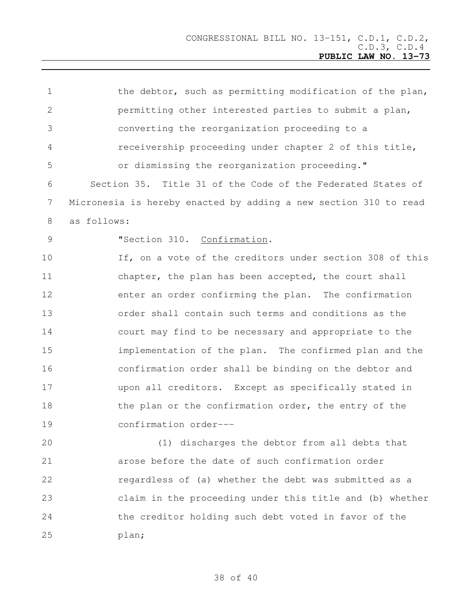| $\mathbf 1$     | the debtor, such as permitting modification of the plan,         |  |
|-----------------|------------------------------------------------------------------|--|
| 2               | permitting other interested parties to submit a plan,            |  |
| 3               | converting the reorganization proceeding to a                    |  |
| 4               | receivership proceeding under chapter 2 of this title,           |  |
| 5               | or dismissing the reorganization proceeding."                    |  |
| 6               | Section 35. Title 31 of the Code of the Federated States of      |  |
| $7\phantom{.0}$ | Micronesia is hereby enacted by adding a new section 310 to read |  |
| 8               | as follows:                                                      |  |
| 9               | "Section 310. Confirmation.                                      |  |
| 10              | If, on a vote of the creditors under section 308 of this         |  |
| 11              | chapter, the plan has been accepted, the court shall             |  |
| 12              | enter an order confirming the plan. The confirmation             |  |
| 13              | order shall contain such terms and conditions as the             |  |
| 14              | court may find to be necessary and appropriate to the            |  |
| 15              | implementation of the plan. The confirmed plan and the           |  |
| 16              | confirmation order shall be binding on the debtor and            |  |
| 17              | upon all creditors. Except as specifically stated in             |  |
| 18              | the plan or the confirmation order, the entry of the             |  |
| 19              | confirmation order---                                            |  |
| 20              | (1) discharges the debtor from all debts that                    |  |
| 21              | arose before the date of such confirmation order                 |  |
| 22              | regardless of (a) whether the debt was submitted as a            |  |
| 23              | claim in the proceeding under this title and (b) whether         |  |
| 24              | the creditor holding such debt voted in favor of the             |  |
| 25              | plan;                                                            |  |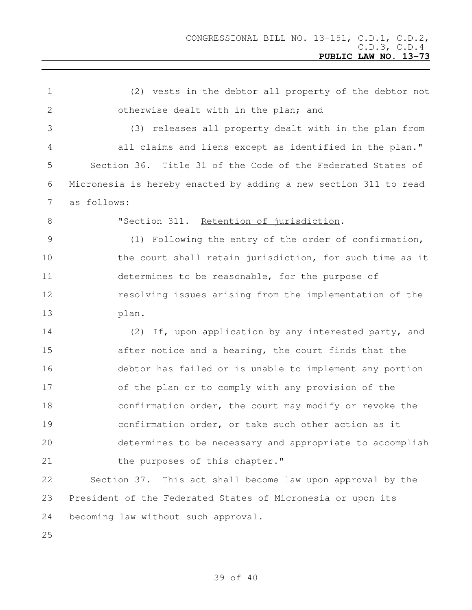(2) vests in the debtor all property of the debtor not otherwise dealt with in the plan; and (3) releases all property dealt with in the plan from all claims and liens except as identified in the plan." Section 36. Title 31 of the Code of the Federated States of Micronesia is hereby enacted by adding a new section 311 to read as follows: "Section 311. Retention of jurisdiction. (1) Following the entry of the order of confirmation, 10 the court shall retain jurisdiction, for such time as it determines to be reasonable, for the purpose of resolving issues arising from the implementation of the plan. (2) If, upon application by any interested party, and after notice and a hearing, the court finds that the debtor has failed or is unable to implement any portion of the plan or to comply with any provision of the confirmation order, the court may modify or revoke the confirmation order, or take such other action as it determines to be necessary and appropriate to accomplish 21 the purposes of this chapter." Section 37. This act shall become law upon approval by the President of the Federated States of Micronesia or upon its becoming law without such approval.